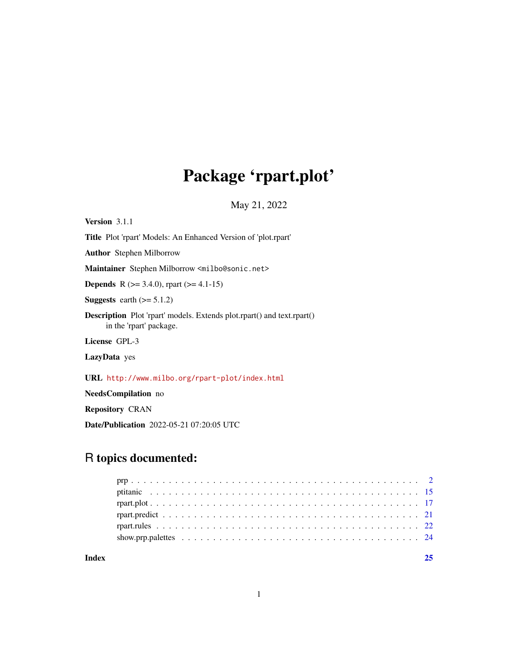## Package 'rpart.plot'

May 21, 2022

<span id="page-0-0"></span>Version 3.1.1 Title Plot 'rpart' Models: An Enhanced Version of 'plot.rpart' Author Stephen Milborrow Maintainer Stephen Milborrow <milbo@sonic.net> **Depends** R ( $>= 3.4.0$ ), rpart ( $>= 4.1-15$ ) Suggests earth  $(>= 5.1.2)$ Description Plot 'rpart' models. Extends plot.rpart() and text.rpart() in the 'rpart' package. License GPL-3 LazyData yes URL <http://www.milbo.org/rpart-plot/index.html> NeedsCompilation no

Repository CRAN

Date/Publication 2022-05-21 07:20:05 UTC

### R topics documented:

**Index** [25](#page-24-0)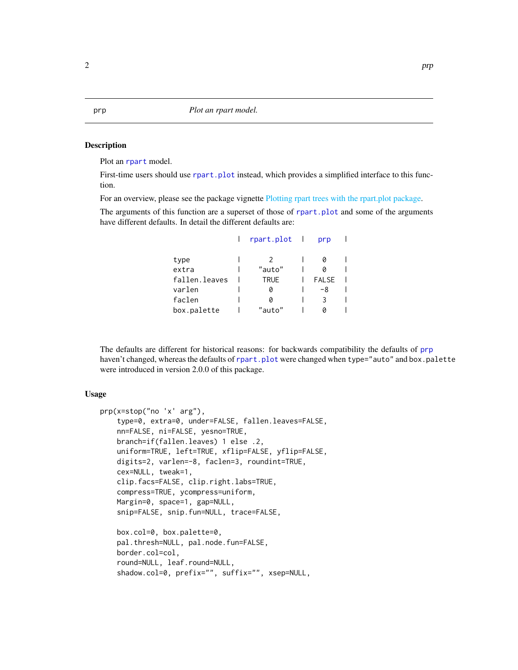#### <span id="page-1-1"></span><span id="page-1-0"></span>Description

Plot an [rpart](#page-0-0) model.

First-time users should use [rpart.plot](#page-16-1) instead, which provides a simplified interface to this function.

For an overview, please see the package vignette [Plotting rpart trees with the rpart.plot package.](#page-0-0)

The arguments of this function are a superset of those of [rpart.plot](#page-16-1) and some of the arguments have different defaults. In detail the different defaults are:

|               | rpart.plot  | prp          |  |
|---------------|-------------|--------------|--|
| type          |             |              |  |
| extra         | "auto"      |              |  |
| fallen.leaves | <b>TRUE</b> | <b>FALSE</b> |  |
| varlen        | 0           | -8           |  |
| faclen        | a           |              |  |
| box.palette   | "auto"      |              |  |

The defaults are different for historical reasons: for backwards compatibility the defaults of [prp](#page-1-1) haven't changed, whereas the defaults of [rpart.plot](#page-16-1) were changed when type="auto" and box.palette were introduced in version 2.0.0 of this package.

#### Usage

```
prp(x=stop("no 'x' arg"),
    type=0, extra=0, under=FALSE, fallen.leaves=FALSE,
    nn=FALSE, ni=FALSE, yesno=TRUE,
   branch=if(fallen.leaves) 1 else .2,
   uniform=TRUE, left=TRUE, xflip=FALSE, yflip=FALSE,
   digits=2, varlen=-8, faclen=3, roundint=TRUE,
   cex=NULL, tweak=1,
   clip.facs=FALSE, clip.right.labs=TRUE,
   compress=TRUE, ycompress=uniform,
   Margin=0, space=1, gap=NULL,
    snip=FALSE, snip.fun=NULL, trace=FALSE,
   box.col=0, box.palette=0,
   pal.thresh=NULL, pal.node.fun=FALSE,
   border.col=col,
    round=NULL, leaf.round=NULL,
    shadow.col=0, prefix="", suffix="", xsep=NULL,
```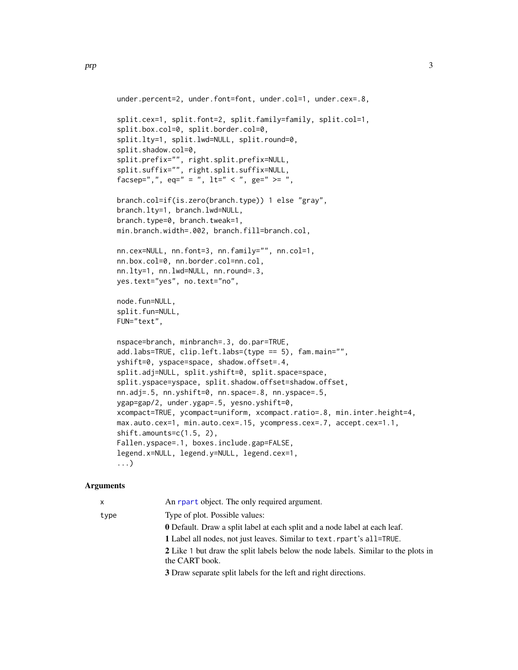```
under.percent=2, under.font=font, under.col=1, under.cex=.8,
split.cex=1, split.font=2, split.family=family, split.col=1,
split.box.col=0, split.border.col=0,
split.lty=1, split.lwd=NULL, split.round=0,
split.shadow.col=0,
split.prefix="", right.split.prefix=NULL,
split.suffix="", right.split.suffix=NULL,
facsep=",", eq=" = ", lt=" < ", ge=" >= ",
branch.col=if(is.zero(branch.type)) 1 else "gray",
branch.lty=1, branch.lwd=NULL,
branch.type=0, branch.tweak=1,
min.branch.width=.002, branch.fill=branch.col,
nn.cex=NULL, nn.font=3, nn.family="", nn.col=1,
nn.box.col=0, nn.border.col=nn.col,
nn.lty=1, nn.lwd=NULL, nn.round=.3,
yes.text="yes", no.text="no",
node.fun=NULL,
split.fun=NULL,
FUN="text",
nspace=branch, minbranch=.3, do.par=TRUE,
add.labs=TRUE, clip.left.labs=(type == 5), fam.main="",
yshift=0, yspace=space, shadow.offset=.4,
split.adj=NULL, split.yshift=0, split.space=space,
split.yspace=yspace, split.shadow.offset=shadow.offset,
nn.adj=.5, nn.yshift=0, nn.space=.8, nn.yspace=.5,
ygap=gap/2, under.ygap=.5, yesno.yshift=0,
xcompact=TRUE, ycompact=uniform, xcompact.ratio=.8, min.inter.height=4,
max.auto.cex=1, min.auto.cex=.15, ycompress.cex=.7, accept.cex=1.1,
shift.amounts=c(1.5, 2),
Fallen.yspace=.1, boxes.include.gap=FALSE,
legend.x=NULL, legend.y=NULL, legend.cex=1,
...)
```

| $\mathsf{x}$ | An rear t object. The only required argument.                                                       |
|--------------|-----------------------------------------------------------------------------------------------------|
| type         | Type of plot. Possible values:                                                                      |
|              | <b>0</b> Default. Draw a split label at each split and a node label at each leaf.                   |
|              | 1 Label all nodes, not just leaves. Similar to text. rpart's all=TRUE.                              |
|              | 2 Like 1 but draw the split labels below the node labels. Similar to the plots in<br>the CART book. |
|              | 3 Draw separate split labels for the left and right directions.                                     |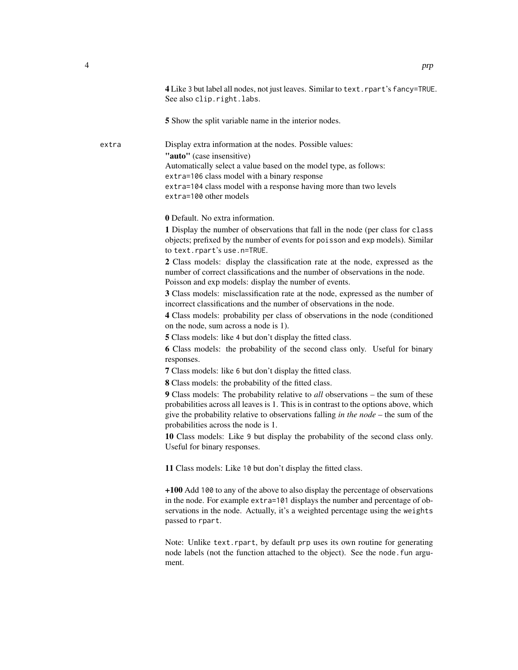|       | 4 Like 3 but label all nodes, not just leaves. Similar to text. rpart's fancy=TRUE.<br>See also clip.right.labs.                                                                                                                                                                                             |
|-------|--------------------------------------------------------------------------------------------------------------------------------------------------------------------------------------------------------------------------------------------------------------------------------------------------------------|
|       | 5 Show the split variable name in the interior nodes.                                                                                                                                                                                                                                                        |
| extra | Display extra information at the nodes. Possible values:<br>"auto" (case insensitive)<br>Automatically select a value based on the model type, as follows:<br>extra=106 class model with a binary response<br>extra=104 class model with a response having more than two levels<br>extra=100 other models    |
|       | <b>0</b> Default. No extra information.                                                                                                                                                                                                                                                                      |
|       | 1 Display the number of observations that fall in the node (per class for class<br>objects; prefixed by the number of events for poisson and exp models). Similar<br>to text.rpart's use.n=TRUE.                                                                                                             |
|       | 2 Class models: display the classification rate at the node, expressed as the<br>number of correct classifications and the number of observations in the node.<br>Poisson and exp models: display the number of events.                                                                                      |
|       | 3 Class models: misclassification rate at the node, expressed as the number of<br>incorrect classifications and the number of observations in the node.                                                                                                                                                      |
|       | 4 Class models: probability per class of observations in the node (conditioned<br>on the node, sum across a node is 1).                                                                                                                                                                                      |
|       | <b>5</b> Class models: like 4 but don't display the fitted class.                                                                                                                                                                                                                                            |
|       | 6 Class models: the probability of the second class only. Useful for binary<br>responses.                                                                                                                                                                                                                    |
|       | 7 Class models: like 6 but don't display the fitted class.                                                                                                                                                                                                                                                   |
|       | <b>8</b> Class models: the probability of the fitted class.                                                                                                                                                                                                                                                  |
|       | 9 Class models: The probability relative to all observations – the sum of these<br>probabilities across all leaves is 1. This is in contrast to the options above, which<br>give the probability relative to observations falling <i>in the node</i> – the sum of the<br>probabilities across the node is 1. |
|       | 10 Class models: Like 9 but display the probability of the second class only.<br>Useful for binary responses.                                                                                                                                                                                                |
|       | 11 Class models: Like 10 but don't display the fitted class.                                                                                                                                                                                                                                                 |
|       | +100 Add 100 to any of the above to also display the percentage of observations<br>in the node. For example extra=101 displays the number and percentage of ob-<br>servations in the node. Actually, it's a weighted percentage using the weights<br>passed to rpart.                                        |
|       | Note: Unlike text.rpart, by default prp uses its own routine for generating<br>node labels (not the function attached to the object). See the node fun argu-<br>ment.                                                                                                                                        |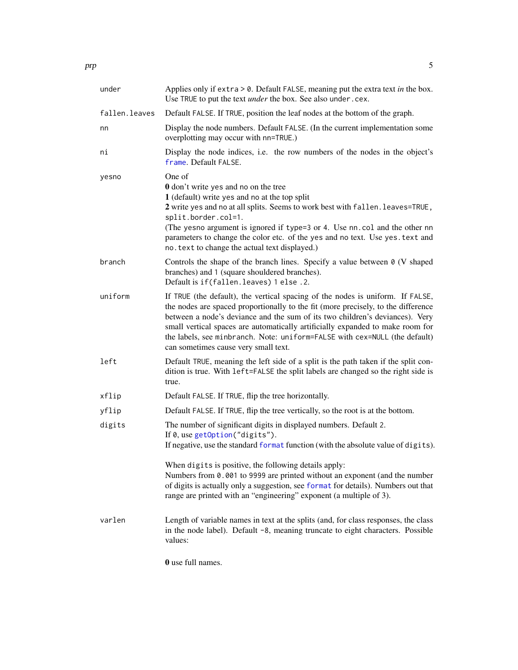<span id="page-4-0"></span>

| under         | Applies only if extra $> 0$ . Default FALSE, meaning put the extra text in the box.<br>Use TRUE to put the text <i>under</i> the box. See also under.cex.                                                                                                                                                                                                                                                                                                   |
|---------------|-------------------------------------------------------------------------------------------------------------------------------------------------------------------------------------------------------------------------------------------------------------------------------------------------------------------------------------------------------------------------------------------------------------------------------------------------------------|
| fallen.leaves | Default FALSE. If TRUE, position the leaf nodes at the bottom of the graph.                                                                                                                                                                                                                                                                                                                                                                                 |
| nn            | Display the node numbers. Default FALSE. (In the current implementation some<br>overplotting may occur with nn=TRUE.)                                                                                                                                                                                                                                                                                                                                       |
| ni            | Display the node indices, i.e. the row numbers of the nodes in the object's<br>frame. Default FALSE.                                                                                                                                                                                                                                                                                                                                                        |
| yesno         | One of<br><b>0</b> don't write yes and no on the tree<br>1 (default) write yes and no at the top split<br>2 write yes and no at all splits. Seems to work best with fallen. leaves=TRUE,<br>split.border.col=1.<br>(The yesno argument is ignored if type=3 or 4. Use nn. col and the other nn<br>parameters to change the color etc. of the yes and no text. Use yes. text and<br>no. text to change the actual text displayed.)                           |
| branch        | Controls the shape of the branch lines. Specify a value between $\theta$ (V shaped<br>branches) and 1 (square shouldered branches).<br>Default is if (fallen. leaves) 1 else. 2.                                                                                                                                                                                                                                                                            |
| uniform       | If TRUE (the default), the vertical spacing of the nodes is uniform. If FALSE,<br>the nodes are spaced proportionally to the fit (more precisely, to the difference<br>between a node's deviance and the sum of its two children's deviances). Very<br>small vertical spaces are automatically artificially expanded to make room for<br>the labels, see minbranch. Note: uniform=FALSE with cex=NULL (the default)<br>can sometimes cause very small text. |
| left          | Default TRUE, meaning the left side of a split is the path taken if the split con-<br>dition is true. With left=FALSE the split labels are changed so the right side is<br>true.                                                                                                                                                                                                                                                                            |
| xflip         | Default FALSE. If TRUE, flip the tree horizontally.                                                                                                                                                                                                                                                                                                                                                                                                         |
| yflip         | Default FALSE. If TRUE, flip the tree vertically, so the root is at the bottom.                                                                                                                                                                                                                                                                                                                                                                             |
| digits        | The number of significant digits in displayed numbers. Default 2.<br>If 0, use getOption("digits").<br>If negative, use the standard format function (with the absolute value of digits).                                                                                                                                                                                                                                                                   |
|               | When digits is positive, the following details apply:<br>Numbers from 0.001 to 9999 are printed without an exponent (and the number<br>of digits is actually only a suggestion, see format for details). Numbers out that<br>range are printed with an "engineering" exponent (a multiple of 3).                                                                                                                                                            |
| varlen        | Length of variable names in text at the splits (and, for class responses, the class<br>in the node label). Default -8, meaning truncate to eight characters. Possible<br>values:                                                                                                                                                                                                                                                                            |

0 use full names.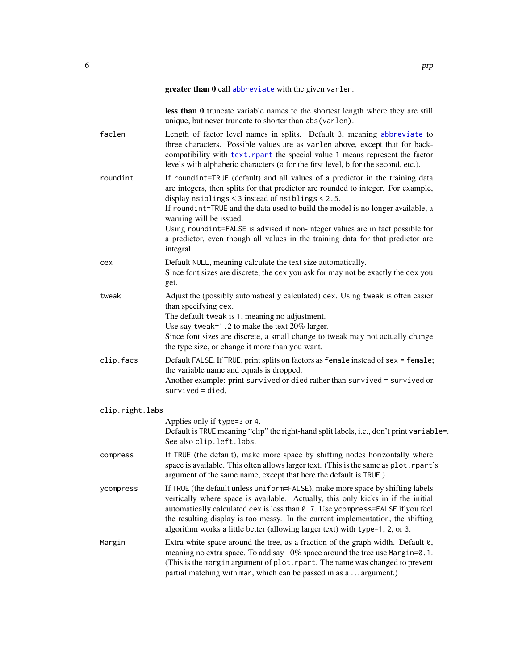less than 0 truncate variable names to the shortest length where they are still unique, but never truncate to shorter than abs(varlen).

<span id="page-5-0"></span>faclen Length of factor level names in splits. Default 3, meaning [abbreviate](#page-0-0) to three characters. Possible values are as varlen above, except that for backcompatibility with [text.rpart](#page-0-0) the special value 1 means represent the factor levels with alphabetic characters (a for the first level, b for the second, etc.). roundint If roundint=TRUE (default) and all values of a predictor in the training data are integers, then splits for that predictor are rounded to integer. For example, display nsiblings < 3 instead of nsiblings < 2.5. If roundint=TRUE and the data used to build the model is no longer available, a warning will be issued. Using roundint=FALSE is advised if non-integer values are in fact possible for a predictor, even though all values in the training data for that predictor are integral. cex Default NULL, meaning calculate the text size automatically. Since font sizes are discrete, the cex you ask for may not be exactly the cex you get. tweak Adjust the (possibly automatically calculated) cex. Using tweak is often easier than specifying cex. The default tweak is 1, meaning no adjustment. Use say tweak=1.2 to make the text 20% larger. Since font sizes are discrete, a small change to tweak may not actually change the type size, or change it more than you want. clip.facs Default FALSE. If TRUE, print splits on factors as female instead of sex = female; the variable name and equals is dropped. Another example: print survived or died rather than survived = survived or survived = died. clip.right.labs Applies only if type=3 or 4. Default is TRUE meaning "clip" the right-hand split labels, i.e., don't print variable=. See also clip.left.labs. compress If TRUE (the default), make more space by shifting nodes horizontally where space is available. This often allows larger text. (This is the same as plot.rpart's argument of the same name, except that here the default is TRUE.) ycompress If TRUE (the default unless uniform=FALSE), make more space by shifting labels vertically where space is available. Actually, this only kicks in if the initial automatically calculated cex is less than 0.7. Use ycompress=FALSE if you feel the resulting display is too messy. In the current implementation, the shifting algorithm works a little better (allowing larger text) with type=1, 2, or 3. Margin Extra white space around the tree, as a fraction of the graph width. Default 0, meaning no extra space. To add say 10% space around the tree use Margin=0.1. (This is the margin argument of plot.rpart. The name was changed to prevent

partial matching with mar, which can be passed in as a . . . argument.)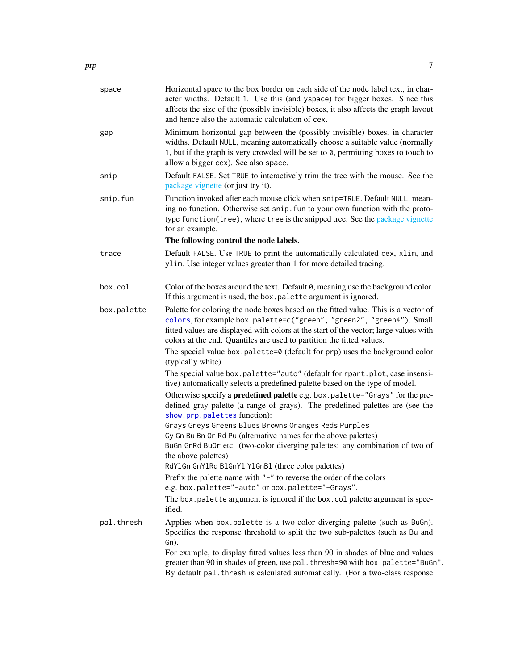<span id="page-6-0"></span>

| space       | Horizontal space to the box border on each side of the node label text, in char-<br>acter widths. Default 1. Use this (and yspace) for bigger boxes. Since this<br>affects the size of the (possibly invisible) boxes, it also affects the graph layout<br>and hence also the automatic calculation of cex.                                                                                                                                                                                                                                                                                                                                                                                                                                                                                                                                                                                                   |
|-------------|---------------------------------------------------------------------------------------------------------------------------------------------------------------------------------------------------------------------------------------------------------------------------------------------------------------------------------------------------------------------------------------------------------------------------------------------------------------------------------------------------------------------------------------------------------------------------------------------------------------------------------------------------------------------------------------------------------------------------------------------------------------------------------------------------------------------------------------------------------------------------------------------------------------|
| gap         | Minimum horizontal gap between the (possibly invisible) boxes, in character<br>widths. Default NULL, meaning automatically choose a suitable value (normally<br>1, but if the graph is very crowded will be set to 0, permitting boxes to touch to<br>allow a bigger cex). See also space.                                                                                                                                                                                                                                                                                                                                                                                                                                                                                                                                                                                                                    |
| snip        | Default FALSE. Set TRUE to interactively trim the tree with the mouse. See the<br>package vignette (or just try it).                                                                                                                                                                                                                                                                                                                                                                                                                                                                                                                                                                                                                                                                                                                                                                                          |
| snip.fun    | Function invoked after each mouse click when snip=TRUE. Default NULL, mean-<br>ing no function. Otherwise set snip. fun to your own function with the proto-<br>type function(tree), where tree is the snipped tree. See the package vignette<br>for an example.<br>The following control the node labels.                                                                                                                                                                                                                                                                                                                                                                                                                                                                                                                                                                                                    |
| trace       | Default FALSE. Use TRUE to print the automatically calculated cex, xlim, and<br>ylim. Use integer values greater than 1 for more detailed tracing.                                                                                                                                                                                                                                                                                                                                                                                                                                                                                                                                                                                                                                                                                                                                                            |
| box.col     | Color of the boxes around the text. Default 0, meaning use the background color.<br>If this argument is used, the box.palette argument is ignored.                                                                                                                                                                                                                                                                                                                                                                                                                                                                                                                                                                                                                                                                                                                                                            |
| box.palette | Palette for coloring the node boxes based on the fitted value. This is a vector of<br>colors, for example box.palette=c("green", "green2", "green4"). Small<br>fitted values are displayed with colors at the start of the vector; large values with<br>colors at the end. Quantiles are used to partition the fitted values.<br>The special value box.palette=0 (default for prp) uses the background color                                                                                                                                                                                                                                                                                                                                                                                                                                                                                                  |
|             | (typically white).<br>The special value box.palette="auto" (default for rpart.plot, case insensi-<br>tive) automatically selects a predefined palette based on the type of model.<br>Otherwise specify a <b>predefined palette</b> e.g. box.palette="Grays" for the pre-<br>defined gray palette (a range of grays). The predefined palettes are (see the<br>show.prp.palettes function):<br>Grays Greys Greens Blues Browns Oranges Reds Purples<br>Gy Gn Bu Bn Or Rd Pu (alternative names for the above palettes)<br>BuGn GnRd BuOr etc. (two-color diverging palettes: any combination of two of<br>the above palettes)<br>RdY1Gn GnY1Rd B1GnY1 Y1GnB1 (three color palettes)<br>Prefix the palette name with $"$ – $"$ to reverse the order of the colors<br>e.g. box.palette="-auto" or box.palette="-Grays".<br>The box.palette argument is ignored if the box.col palette argument is spec-<br>ified. |
| pal.thresh  | Applies when box.palette is a two-color diverging palette (such as BuGn).<br>Specifies the response threshold to split the two sub-palettes (such as Bu and<br>Gn).<br>For example, to display fitted values less than 90 in shades of blue and values<br>greater than 90 in shades of green, use pal. thresh=90 with box.palette="BuGn".<br>By default pal. thresh is calculated automatically. (For a two-class response                                                                                                                                                                                                                                                                                                                                                                                                                                                                                    |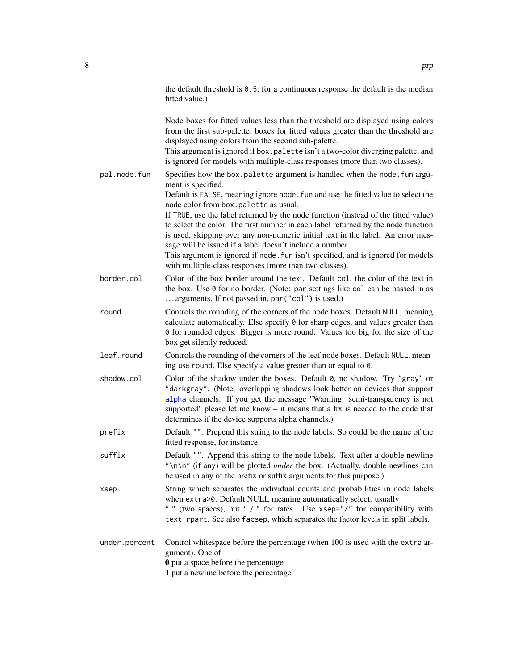<span id="page-7-0"></span>

|               | the default threshold is $0.5$ ; for a continuous response the default is the median<br>fitted value.)                                                                                                                                                                                                                                                                                                                                                                                                                                                                                                                                                                                                |
|---------------|-------------------------------------------------------------------------------------------------------------------------------------------------------------------------------------------------------------------------------------------------------------------------------------------------------------------------------------------------------------------------------------------------------------------------------------------------------------------------------------------------------------------------------------------------------------------------------------------------------------------------------------------------------------------------------------------------------|
|               | Node boxes for fitted values less than the threshold are displayed using colors<br>from the first sub-palette; boxes for fitted values greater than the threshold are<br>displayed using colors from the second sub-palette.<br>This argument is ignored if box.palette isn't a two-color diverging palette, and<br>is ignored for models with multiple-class responses (more than two classes).                                                                                                                                                                                                                                                                                                      |
| pal.node.fun  | Specifies how the box.palette argument is handled when the node.fun argu-<br>ment is specified.<br>Default is FALSE, meaning ignore node. fun and use the fitted value to select the<br>node color from box.palette as usual.<br>If TRUE, use the label returned by the node function (instead of the fitted value)<br>to select the color. The first number in each label returned by the node function<br>is used, skipping over any non-numeric initial text in the label. An error mes-<br>sage will be issued if a label doesn't include a number.<br>This argument is ignored if node. fun isn't specified, and is ignored for models<br>with multiple-class responses (more than two classes). |
| border.col    | Color of the box border around the text. Default col, the color of the text in<br>the box. Use 0 for no border. (Note: par settings like col can be passed in as<br>arguments. If not passed in, par ("col") is used.)                                                                                                                                                                                                                                                                                                                                                                                                                                                                                |
| round         | Controls the rounding of the corners of the node boxes. Default NULL, meaning<br>calculate automatically. Else specify 0 for sharp edges, and values greater than<br>0 for rounded edges. Bigger is more round. Values too big for the size of the<br>box get silently reduced.                                                                                                                                                                                                                                                                                                                                                                                                                       |
| leaf.round    | Controls the rounding of the corners of the leaf node boxes. Default NULL, mean-<br>ing use round. Else specify a value greater than or equal to 0.                                                                                                                                                                                                                                                                                                                                                                                                                                                                                                                                                   |
| shadow.col    | Color of the shadow under the boxes. Default 0, no shadow. Try "gray" or<br>"darkgray". (Note: overlapping shadows look better on devices that support<br>alpha channels. If you get the message "Warning: semi-transparency is not<br>supported" please let me know - it means that a fix is needed to the code that<br>determines if the device supports alpha channels.)                                                                                                                                                                                                                                                                                                                           |
| prefix        | Default "". Prepend this string to the node labels. So could be the name of the<br>fitted response, for instance.                                                                                                                                                                                                                                                                                                                                                                                                                                                                                                                                                                                     |
| suffix        | Default "". Append this string to the node labels. Text after a double newline<br>"\n\n" (if any) will be plotted <i>under</i> the box. (Actually, double newlines can<br>be used in any of the prefix or suffix arguments for this purpose.)                                                                                                                                                                                                                                                                                                                                                                                                                                                         |
| xsep          | String which separates the individual counts and probabilities in node labels<br>when extra>0. Default NULL meaning automatically select: usually<br>" " (two spaces), but " / " for rates. Use xsep="/" for compatibility with<br>text.rpart. See also facsep, which separates the factor levels in split labels.                                                                                                                                                                                                                                                                                                                                                                                    |
| under.percent | Control white space before the percentage (when 100 is used with the extra ar-<br>gument). One of                                                                                                                                                                                                                                                                                                                                                                                                                                                                                                                                                                                                     |

0 put a space before the percentage

1 put a newline before the percentage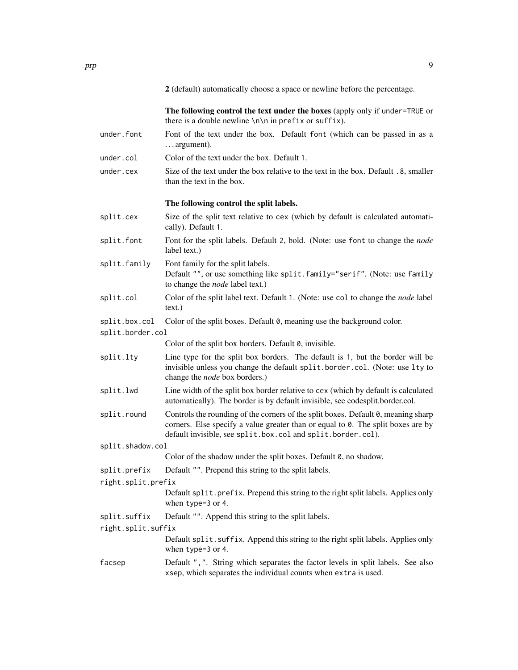2 (default) automatically choose a space or newline before the percentage.

The following control the text under the boxes (apply only if under=TRUE or there is a double newline  $\n\t\hat{\mathbb{R}}$  in prefix or suffix).

- under.font Font of the text under the box. Default font (which can be passed in as a . . . argument).
- under.col Color of the text under the box. Default 1.
- under.cex Size of the text under the box relative to the text in the box. Default .8, smaller than the text in the box.

#### The following control the split labels.

- split.cex Size of the split text relative to cex (which by default is calculated automatically). Default 1.
- split.font Font for the split labels. Default 2, bold. (Note: use font to change the *node* label text.)
- split.family Font family for the split labels. Default "", or use something like split.family="serif". (Note: use family to change the *node* label text.)
- split.col Color of the split label text. Default 1. (Note: use col to change the *node* label text.)

split.box.col Color of the split boxes. Default 0, meaning use the background color.

split.border.col

Color of the split box borders. Default 0, invisible.

- split.lty Line type for the split box borders. The default is 1, but the border will be invisible unless you change the default split.border.col. (Note: use lty to change the *node* box borders.)
- split.lwd Line width of the split box border relative to cex (which by default is calculated automatically). The border is by default invisible, see codesplit.border.col.
- split.round Controls the rounding of the corners of the split boxes. Default 0, meaning sharp corners. Else specify a value greater than or equal to 0. The split boxes are by default invisible, see split.box.col and split.border.col).
- split.shadow.col
	- Color of the shadow under the split boxes. Default 0, no shadow.
- split.prefix Default "". Prepend this string to the split labels.
- right.split.prefix

Default split.prefix. Prepend this string to the right split labels. Applies only when type=3 or 4.

- split.suffix Default "". Append this string to the split labels.
- right.split.suffix

Default split. suffix. Append this string to the right split labels. Applies only when type=3 or 4.

facsep Default ",". String which separates the factor levels in split labels. See also xsep, which separates the individual counts when extra is used.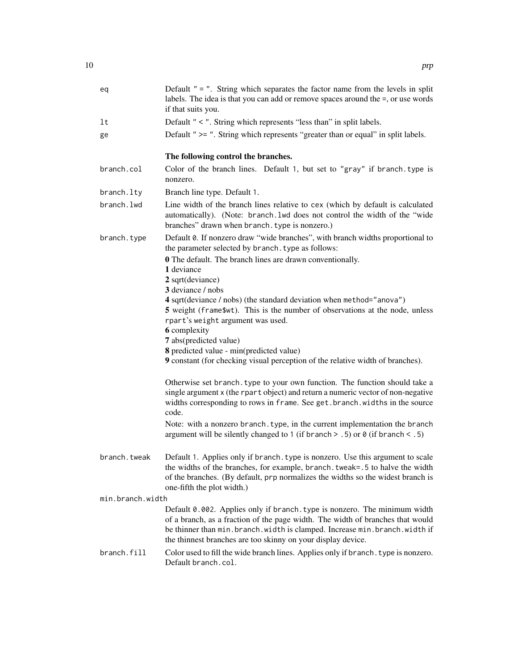| eq               | Default $" = "$ . String which separates the factor name from the levels in split<br>labels. The idea is that you can add or remove spaces around the =, or use words<br>if that suits you.                                                                                                                  |
|------------------|--------------------------------------------------------------------------------------------------------------------------------------------------------------------------------------------------------------------------------------------------------------------------------------------------------------|
| lt               | Default " $\lt$ ". String which represents "less than" in split labels.                                                                                                                                                                                                                                      |
| ge               | Default " >= ". String which represents "greater than or equal" in split labels.                                                                                                                                                                                                                             |
|                  | The following control the branches.                                                                                                                                                                                                                                                                          |
| branch.col       | Color of the branch lines. Default 1, but set to "gray" if branch. type is<br>nonzero.                                                                                                                                                                                                                       |
| branch.lty       | Branch line type. Default 1.                                                                                                                                                                                                                                                                                 |
| branch.lwd       | Line width of the branch lines relative to cex (which by default is calculated<br>automatically). (Note: branch. lwd does not control the width of the "wide<br>branches" drawn when branch. type is nonzero.)                                                                                               |
| branch.type      | Default 0. If nonzero draw "wide branches", with branch widths proportional to<br>the parameter selected by branch. type as follows:                                                                                                                                                                         |
|                  | <b>0</b> The default. The branch lines are drawn conventionally.                                                                                                                                                                                                                                             |
|                  | 1 deviance<br>2 sqrt(deviance)                                                                                                                                                                                                                                                                               |
|                  | 3 deviance / nobs                                                                                                                                                                                                                                                                                            |
|                  | 4 sqrt(deviance / nobs) (the standard deviation when method="anova")                                                                                                                                                                                                                                         |
|                  | 5 weight (frame\$wt). This is the number of observations at the node, unless                                                                                                                                                                                                                                 |
|                  | rpart's weight argument was used.<br><b>6</b> complexity                                                                                                                                                                                                                                                     |
|                  | 7 abs(predicted value)                                                                                                                                                                                                                                                                                       |
|                  | 8 predicted value - min(predicted value)                                                                                                                                                                                                                                                                     |
|                  | 9 constant (for checking visual perception of the relative width of branches).                                                                                                                                                                                                                               |
|                  | Otherwise set branch. type to your own function. The function should take a<br>single argument x (the rpart object) and return a numeric vector of non-negative<br>widths corresponding to rows in frame. See get. branch. widths in the source<br>code.                                                     |
|                  | Note: with a nonzero branch. type, in the current implementation the branch<br>argument will be silently changed to 1 (if branch $>$ .5) or 0 (if branch $<$ .5)                                                                                                                                             |
| branch.tweak     | Default 1. Applies only if branch. type is nonzero. Use this argument to scale<br>the widths of the branches, for example, branch. tweak=.5 to halve the width<br>of the branches. (By default, prp normalizes the widths so the widest branch is<br>one-fifth the plot width.)                              |
| min.branch.width |                                                                                                                                                                                                                                                                                                              |
|                  | Default 0.002. Applies only if branch. type is nonzero. The minimum width<br>of a branch, as a fraction of the page width. The width of branches that would<br>be thinner than min. branch. width is clamped. Increase min. branch. width if<br>the thinnest branches are too skinny on your display device. |
| branch.fill      | Color used to fill the wide branch lines. Applies only if branch. type is nonzero.<br>Default branch.col.                                                                                                                                                                                                    |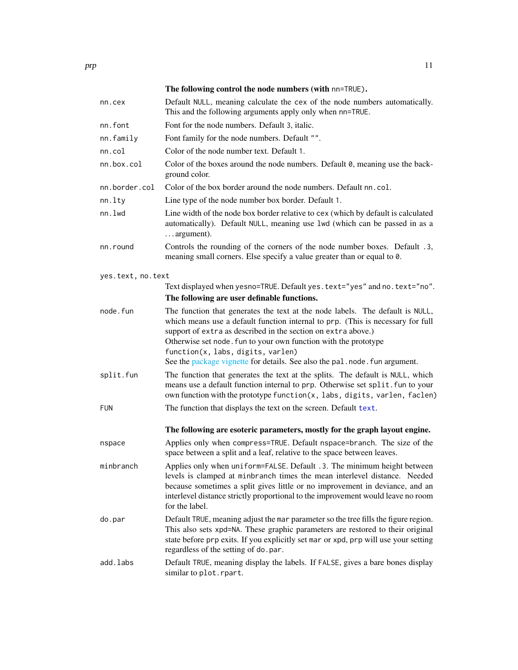<span id="page-10-0"></span>

|                   | The following control the node numbers (with nn=TRUE).                                                                                                                                                                                                                                                                                                                                                                 |
|-------------------|------------------------------------------------------------------------------------------------------------------------------------------------------------------------------------------------------------------------------------------------------------------------------------------------------------------------------------------------------------------------------------------------------------------------|
| nn.cex            | Default NULL, meaning calculate the cex of the node numbers automatically.<br>This and the following arguments apply only when nn=TRUE.                                                                                                                                                                                                                                                                                |
| nn.font           | Font for the node numbers. Default 3, italic.                                                                                                                                                                                                                                                                                                                                                                          |
| nn.family         | Font family for the node numbers. Default "".                                                                                                                                                                                                                                                                                                                                                                          |
| nn.col            | Color of the node number text. Default 1.                                                                                                                                                                                                                                                                                                                                                                              |
| nn.box.col        | Color of the boxes around the node numbers. Default 0, meaning use the back-<br>ground color.                                                                                                                                                                                                                                                                                                                          |
| nn.border.col     | Color of the box border around the node numbers. Default nn.col.                                                                                                                                                                                                                                                                                                                                                       |
| nn.lty            | Line type of the node number box border. Default 1.                                                                                                                                                                                                                                                                                                                                                                    |
| nn.lwd            | Line width of the node box border relative to cex (which by default is calculated<br>automatically). Default NULL, meaning use 1wd (which can be passed in as a<br>argument).                                                                                                                                                                                                                                          |
| nn.round          | Controls the rounding of the corners of the node number boxes. Default .3,<br>meaning small corners. Else specify a value greater than or equal to 0.                                                                                                                                                                                                                                                                  |
| yes.text, no.text |                                                                                                                                                                                                                                                                                                                                                                                                                        |
|                   | Text displayed when yesno=TRUE. Default yes. text="yes" and no. text="no".<br>The following are user definable functions.                                                                                                                                                                                                                                                                                              |
| node.fun          | The function that generates the text at the node labels. The default is NULL,<br>which means use a default function internal to prp. (This is necessary for full<br>support of extra as described in the section on extra above.)<br>Otherwise set node. Fun to your own function with the prototype<br>function(x, labs, digits, varlen)<br>See the package vignette for details. See also the pal.node.fun argument. |
| split.fun         | The function that generates the text at the splits. The default is NULL, which<br>means use a default function internal to prp. Otherwise set split. fun to your<br>own function with the prototype function(x, labs, digits, varlen, faclen)                                                                                                                                                                          |
| FUN               | The function that displays the text on the screen. Default text.                                                                                                                                                                                                                                                                                                                                                       |
|                   | The following are esoteric parameters, mostly for the graph layout engine.                                                                                                                                                                                                                                                                                                                                             |
| nspace            | Applies only when compress=TRUE. Default nspace=branch. The size of the<br>space between a split and a leaf, relative to the space between leaves.                                                                                                                                                                                                                                                                     |
| minbranch         | Applies only when uniform=FALSE. Default .3. The minimum height between<br>levels is clamped at minbranch times the mean interlevel distance. Needed<br>because sometimes a split gives little or no improvement in deviance, and an<br>interlevel distance strictly proportional to the improvement would leave no room<br>for the label.                                                                             |
| do.par            | Default TRUE, meaning adjust the mar parameter so the tree fills the figure region.<br>This also sets xpd=NA. These graphic parameters are restored to their original<br>state before prp exits. If you explicitly set mar or xpd, prp will use your setting<br>regardless of the setting of do.par.                                                                                                                   |
| add.labs          | Default TRUE, meaning display the labels. If FALSE, gives a bare bones display<br>similar to plot.rpart.                                                                                                                                                                                                                                                                                                               |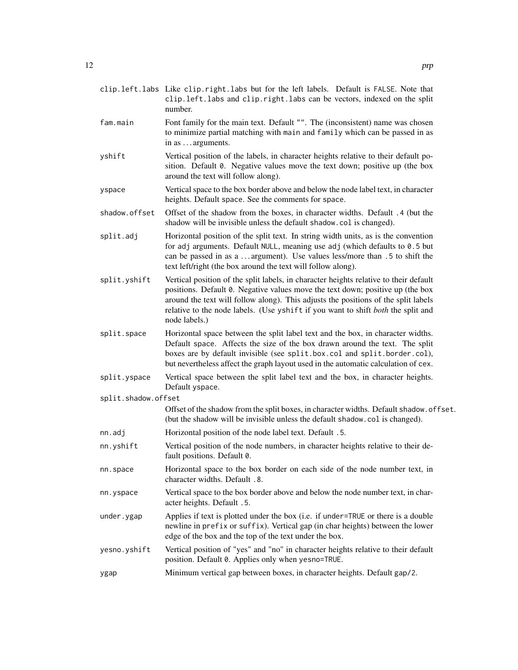- clip.left.labs Like clip.right.labs but for the left labels. Default is FALSE. Note that clip.left.labs and clip.right.labs can be vectors, indexed on the split number.
- fam. main Font family for the main text. Default "". The (inconsistent) name was chosen to minimize partial matching with main and family which can be passed in as in as . . . arguments.
- yshift Vertical position of the labels, in character heights relative to their default position. Default 0. Negative values move the text down; positive up (the box around the text will follow along).
- yspace Vertical space to the box border above and below the node label text, in character heights. Default space. See the comments for space.
- shadow.offset Offset of the shadow from the boxes, in character widths. Default .4 (but the shadow will be invisible unless the default shadow.col is changed).
- split.adj Horizontal position of the split text. In string width units, as is the convention for adj arguments. Default NULL, meaning use adj (which defaults to 0.5 but can be passed in as a . . . argument). Use values less/more than .5 to shift the text left/right (the box around the text will follow along).
- split.yshift Vertical position of the split labels, in character heights relative to their default positions. Default 0. Negative values move the text down; positive up (the box around the text will follow along). This adjusts the positions of the split labels relative to the node labels. (Use yshift if you want to shift *both* the split and node labels.)
- split.space Horizontal space between the split label text and the box, in character widths. Default space. Affects the size of the box drawn around the text. The split boxes are by default invisible (see split.box.col and split.border.col), but nevertheless affect the graph layout used in the automatic calculation of cex.
- split.yspace Vertical space between the split label text and the box, in character heights. Default yspace.
- split.shadow.offset

Offset of the shadow from the split boxes, in character widths. Default shadow.offset. (but the shadow will be invisible unless the default shadow.col is changed).

- nn.adj Horizontal position of the node label text. Default .5.
- nn.yshift Vertical position of the node numbers, in character heights relative to their default positions. Default 0.
- nn.space Horizontal space to the box border on each side of the node number text, in character widths. Default .8.
- nn.yspace Vertical space to the box border above and below the node number text, in character heights. Default .5.
- under.ygap Applies if text is plotted under the box (i.e. if under=TRUE or there is a double newline in prefix or suffix). Vertical gap (in char heights) between the lower edge of the box and the top of the text under the box.
- yesno.yshift Vertical position of "yes" and "no" in character heights relative to their default position. Default 0. Applies only when yesno=TRUE.

#### ygap Minimum vertical gap between boxes, in character heights. Default gap/2.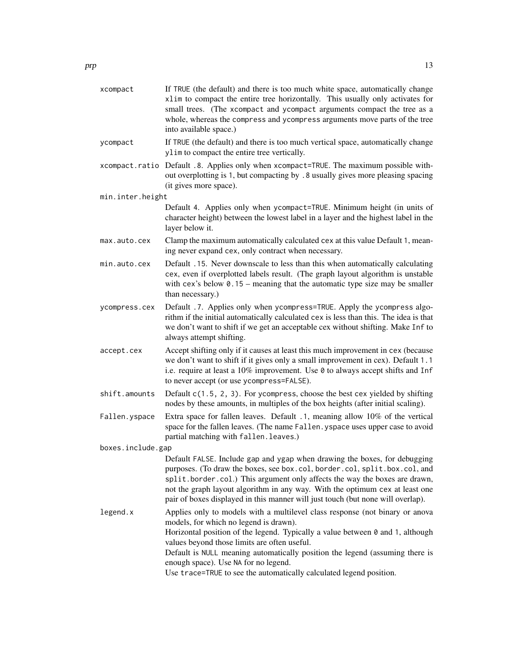| xcompact          | If TRUE (the default) and there is too much white space, automatically change<br>xlim to compact the entire tree horizontally. This usually only activates for<br>small trees. (The xcompact and ycompact arguments compact the tree as a<br>whole, whereas the compress and ycompress arguments move parts of the tree<br>into available space.)                                                                                                       |
|-------------------|---------------------------------------------------------------------------------------------------------------------------------------------------------------------------------------------------------------------------------------------------------------------------------------------------------------------------------------------------------------------------------------------------------------------------------------------------------|
| ycompact          | If TRUE (the default) and there is too much vertical space, automatically change<br>ylim to compact the entire tree vertically.                                                                                                                                                                                                                                                                                                                         |
|                   | xcompact.ratio Default .8. Applies only when xcompact=TRUE. The maximum possible with-<br>out overplotting is 1, but compacting by .8 usually gives more pleasing spacing<br>(it gives more space).                                                                                                                                                                                                                                                     |
| min.inter.height  |                                                                                                                                                                                                                                                                                                                                                                                                                                                         |
|                   | Default 4. Applies only when ycompact=TRUE. Minimum height (in units of<br>character height) between the lowest label in a layer and the highest label in the<br>layer below it.                                                                                                                                                                                                                                                                        |
| max.auto.cex      | Clamp the maximum automatically calculated cex at this value Default 1, mean-<br>ing never expand cex, only contract when necessary.                                                                                                                                                                                                                                                                                                                    |
| min.auto.cex      | Default .15. Never downscale to less than this when automatically calculating<br>cex, even if overplotted labels result. (The graph layout algorithm is unstable<br>with cex's below $0.15$ – meaning that the automatic type size may be smaller<br>than necessary.)                                                                                                                                                                                   |
| ycompress.cex     | Default .7. Applies only when ycompress=TRUE. Apply the ycompress algo-<br>rithm if the initial automatically calculated cex is less than this. The idea is that<br>we don't want to shift if we get an acceptable cex without shifting. Make Inf to<br>always attempt shifting.                                                                                                                                                                        |
| accept.cex        | Accept shifting only if it causes at least this much improvement in cex (because<br>we don't want to shift if it gives only a small improvement in cex). Default 1.1<br>i.e. require at least a 10% improvement. Use 0 to always accept shifts and Inf<br>to never accept (or use ycompress=FALSE).                                                                                                                                                     |
| shift.amounts     | Default c(1.5, 2, 3). For ycompress, choose the best cex yielded by shifting<br>nodes by these amounts, in multiples of the box heights (after initial scaling).                                                                                                                                                                                                                                                                                        |
| Fallen.yspace     | Extra space for fallen leaves. Default .1, meaning allow 10% of the vertical<br>space for the fallen leaves. (The name Fallen. yspace uses upper case to avoid<br>partial matching with fallen. leaves.)                                                                                                                                                                                                                                                |
| boxes.include.gap |                                                                                                                                                                                                                                                                                                                                                                                                                                                         |
|                   | Default FALSE. Include gap and ygap when drawing the boxes, for debugging<br>purposes. (To draw the boxes, see box.col, border.col, split.box.col, and<br>split.border.col.) This argument only affects the way the boxes are drawn,<br>not the graph layout algorithm in any way. With the optimum cex at least one<br>pair of boxes displayed in this manner will just touch (but none will overlap).                                                 |
| legend.x          | Applies only to models with a multilevel class response (not binary or anova<br>models, for which no legend is drawn).<br>Horizontal position of the legend. Typically a value between 0 and 1, although<br>values beyond those limits are often useful.<br>Default is NULL meaning automatically position the legend (assuming there is<br>enough space). Use NA for no legend.<br>Use trace=TRUE to see the automatically calculated legend position. |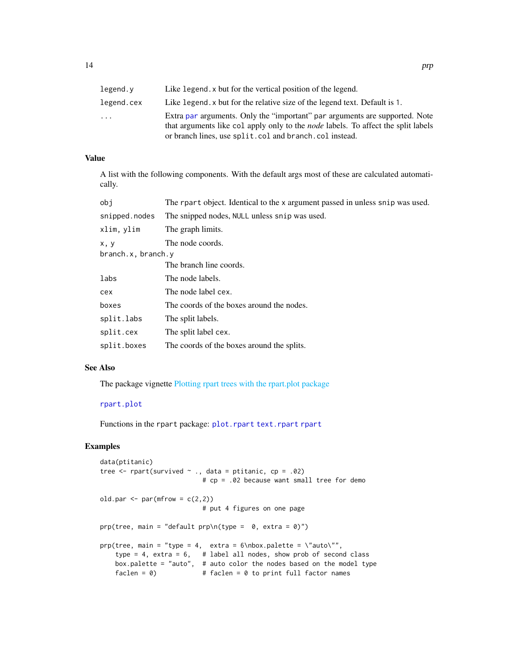<span id="page-13-0"></span>

| legend.v   | Like legend, x but for the vertical position of the legend.                                                                                                                                                                       |
|------------|-----------------------------------------------------------------------------------------------------------------------------------------------------------------------------------------------------------------------------------|
| legend.cex | Like legend, x but for the relative size of the legend text. Default is 1.                                                                                                                                                        |
| .          | Extra par arguments. Only the "important" par arguments are supported. Note<br>that arguments like col apply only to the <i>node</i> labels. To affect the split labels<br>or branch lines, use split.col and branch.col instead. |

#### Value

A list with the following components. With the default args most of these are calculated automatically.

| obi                | The report object. Identical to the x argument passed in unless snip was used. |
|--------------------|--------------------------------------------------------------------------------|
| snipped.nodes      | The snipped nodes, NULL unless snip was used.                                  |
| xlim, ylim         | The graph limits.                                                              |
| x, y               | The node coords.                                                               |
| branch.x, branch.y |                                                                                |
|                    | The branch line coords.                                                        |
| labs               | The node labels.                                                               |
| cex                | The node label cex.                                                            |
| boxes              | The coords of the boxes around the nodes.                                      |
| split.labs         | The split labels.                                                              |
| split.cex          | The split label cex.                                                           |
| split.boxes        | The coords of the boxes around the splits.                                     |

#### See Also

The package vignette [Plotting rpart trees with the rpart.plot package](#page-0-0)

#### [rpart.plot](#page-16-1)

Functions in the rpart package: [plot.rpart](#page-0-0) [text.rpart](#page-0-0) [rpart](#page-0-0)

```
data(ptitanic)
tree \leq rpart(survived \sim ., data = ptitanic, cp = .02)
                           # cp = .02 because want small tree for demo
old.par \leq par(mfrow = c(2,2))
                           # put 4 figures on one page
prp(tree, main = "default prp\n(type = 0, extra = 0)")prp(tree, main = "type = 4, extra = 6\nnbox.palette = \n"auto\,"",type = 4, extra = 6, # label all nodes, show prob of second class
    box.palette = "auto", # auto color the nodes based on the model type
   faclen = 0 \qquad # faclen = 0 to print full factor names
```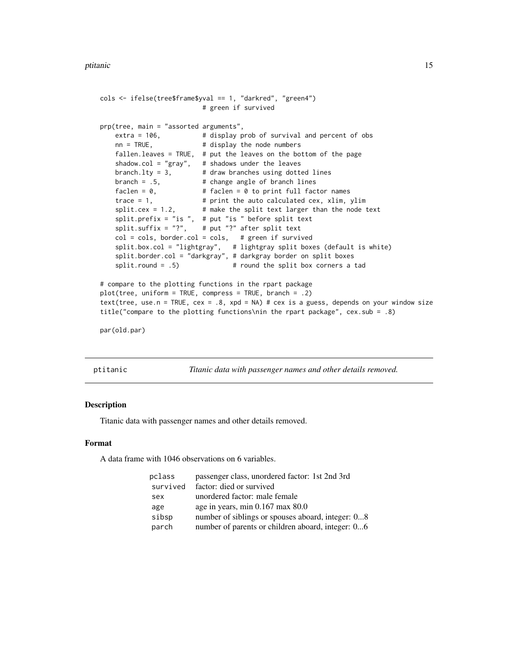```
cols <- ifelse(tree$frame$yval == 1, "darkred", "green4")
                         # green if survived
prp(tree, main = "assorted arguments",
   extra = 106, # display display prob of survival and percent of obs
   nn = TRUE, # display the node numbers
   fallen.leaves = TRUE, # put the leaves on the bottom of the page
   shadow.col = "gray", # shadows under the leaves
   branch.lty = 3, # draw branches using dotted lines
   branch = .5, # change angle of branch linesfaclen = 0, \# faclen = 0 to print full factor names
   trace = 1, # print the auto calculated cex, xlim, ylim
   split.cex = 1.2, \# make the split text larger than the node text
   split.prefix = "is ", # put "is " before split text
   split.suffix = "?", \# put "?" after split text
   col = cols, border.col = cols, # green if survived
   split.box.col = "lightgray", # lightgray split boxes (default is white)
   split.border.col = "darkgray", # darkgray border on split boxes
   split.round = .5) # round the split box corners a tad
# compare to the plotting functions in the rpart package
plot(tree, uniform = TRUE, compress = TRUE, branch = .2)
text(tree, use.n = TRUE, cex = .8, xpd = NA) # cex is a guess, depends on your window size
title("compare to the plotting functions\nin the rpart package", cex.sub = .8)
par(old.par)
```
ptitanic *Titanic data with passenger names and other details removed.*

#### Description

Titanic data with passenger names and other details removed.

#### Format

A data frame with 1046 observations on 6 variables.

| pclass   | passenger class, unordered factor: 1st 2nd 3rd    |
|----------|---------------------------------------------------|
| survived | factor: died or survived                          |
| sex      | unordered factor: male female                     |
| age      | age in years, min 0.167 max 80.0                  |
| sibsp    | number of siblings or spouses aboard, integer: 08 |
| parch    | number of parents or children aboard, integer: 06 |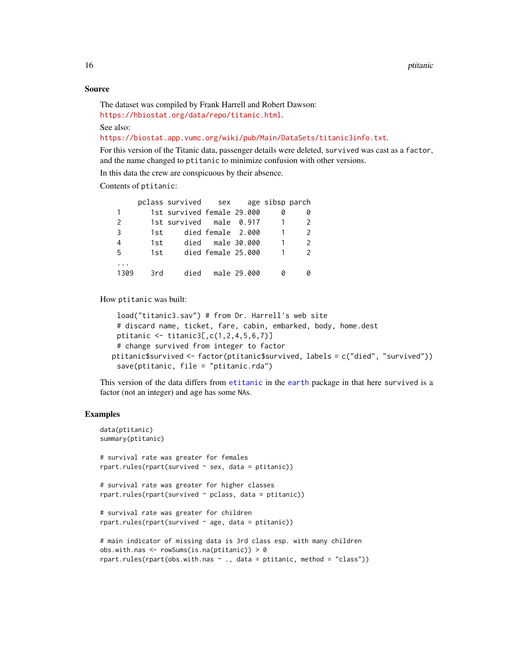#### Source

```
The dataset was compiled by Frank Harrell and Robert Dawson:
https://hbiostat.org/data/repo/titanic.html.
```
See also:

<https://biostat.app.vumc.org/wiki/pub/Main/DataSets/titanic3info.txt>.

For this version of the Titanic data, passenger details were deleted, survived was cast as a factor, and the name changed to ptitanic to minimize confusion with other versions.

In this data the crew are conspicuous by their absence.

Contents of ptitanic:

|                |       | pclass survived sex age sibsp parch                                                                       |                    |  |               |  |
|----------------|-------|-----------------------------------------------------------------------------------------------------------|--------------------|--|---------------|--|
| 1.             |       | 1st survived female 29.000                                                                                |                    |  | 0             |  |
| $\overline{2}$ |       | 1st survived male 0.917                                                                                   |                    |  | $\mathcal{P}$ |  |
| 3              | 1st - |                                                                                                           | died female  2.000 |  | $\mathcal{P}$ |  |
| 4              |       | 1st and the 1st and 1st and 1st and 1st and 1st and 1st and 1st and 1st and 1st and 1st and 1st and 1st a | died male 30.000   |  | $\mathcal{L}$ |  |
| 5              | 1st.  |                                                                                                           | died female 25.000 |  | $\mathcal{P}$ |  |
|                |       |                                                                                                           |                    |  |               |  |
| 1309           | 3rd   |                                                                                                           | died male 29.000   |  |               |  |

How ptitanic was built:

```
load("titanic3.sav") # from Dr. Harrell's web site
 # discard name, ticket, fare, cabin, embarked, body, home.dest
 ptitanic <- titanic3[,c(1,2,4,5,6,7)]
 # change survived from integer to factor
ptitanic$survived <- factor(ptitanic$survived, labels = c("died", "survived"))
 save(ptitanic, file = "ptitanic.rda")
```
This version of the data differs from [etitanic](#page-0-0) in the [earth](#page-0-0) package in that here survived is a factor (not an integer) and age has some NAs.

```
data(ptitanic)
summary(ptitanic)
# survival rate was greater for females
rpart.rules(rpart(survived ~ sex, data = pititanic))# survival rate was greater for higher classes
rpart.rules(rpart(survived ~ pclass, data = ptitanic))
# survival rate was greater for children
rpart.rules(rpart(survived ~age, data = pititanic))# main indicator of missing data is 3rd class esp. with many children
obs.with.nas <- rowSums(is.na(ptitanic)) > 0
rpart.rules(rpart(obs.with.nas \sim ., data = ptitanic, method = "class"))
```
<span id="page-15-0"></span>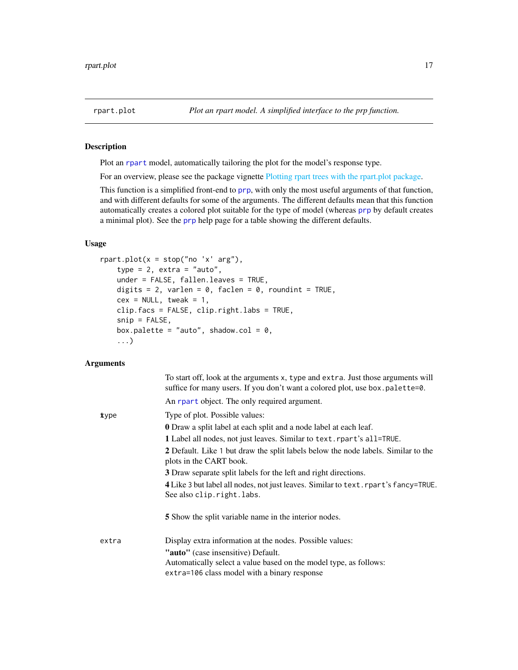<span id="page-16-1"></span><span id="page-16-0"></span>

#### Description

Plot an [rpart](#page-0-0) model, automatically tailoring the plot for the model's response type.

For an overview, please see the package vignette [Plotting rpart trees with the rpart.plot package.](#page-0-0)

This function is a simplified front-end to [prp](#page-1-1), with only the most useful arguments of that function, and with different defaults for some of the arguments. The different defaults mean that this function automatically creates a colored plot suitable for the type of model (whereas [prp](#page-1-1) by default creates a minimal plot). See the [prp](#page-1-1) help page for a table showing the different defaults.

#### Usage

```
rpart.plot(x = stop("no 'x' arg"),type = 2, extra = "auto",
   under = FALSE, fallen.leaves = TRUE,
   digits = 2, varlen = 0, faclen = 0, roundint = TRUE,
   cex = NULL, tweak = 1,
   clip.facs = FALSE, clip.right.labs = TRUE,
    snip = FALSE,
   box.palette = "auto", shadow.col = 0,
    ...)
```

|       | To start off, look at the arguments x, type and extra. Just those arguments will<br>suffice for many users. If you don't want a colored plot, use box.palette=0. |
|-------|------------------------------------------------------------------------------------------------------------------------------------------------------------------|
|       | An rpart object. The only required argument.                                                                                                                     |
| xype  | Type of plot. Possible values:                                                                                                                                   |
|       | <b>0</b> Draw a split label at each split and a node label at each leaf.                                                                                         |
|       | 1 Label all nodes, not just leaves. Similar to text. rpart's all=TRUE.                                                                                           |
|       | 2 Default. Like 1 but draw the split labels below the node labels. Similar to the<br>plots in the CART book.                                                     |
|       | 3 Draw separate split labels for the left and right directions.                                                                                                  |
|       | 4 Like 3 but label all nodes, not just leaves. Similar to text. rpart's fancy=TRUE.<br>See also clip.right.labs.                                                 |
|       | <b>5</b> Show the split variable name in the interior nodes.                                                                                                     |
| extra | Display extra information at the nodes. Possible values:                                                                                                         |
|       | "auto" (case insensitive) Default.                                                                                                                               |
|       | Automatically select a value based on the model type, as follows:                                                                                                |
|       | extra=106 class model with a binary response                                                                                                                     |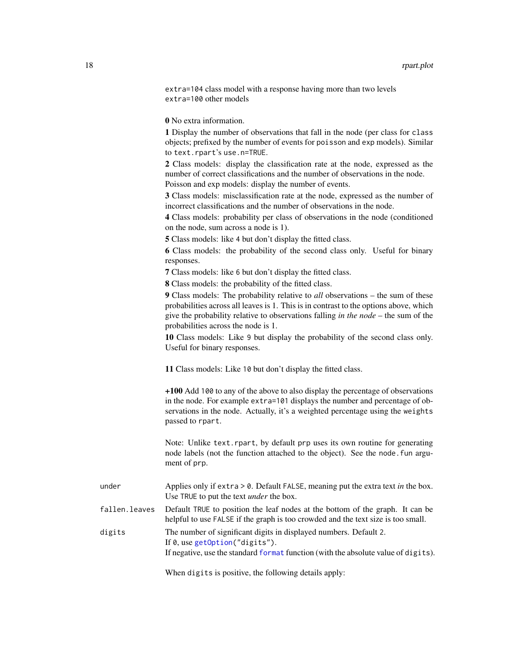<span id="page-17-0"></span>extra=104 class model with a response having more than two levels extra=100 other models

0 No extra information.

1 Display the number of observations that fall in the node (per class for class objects; prefixed by the number of events for poisson and exp models). Similar to text.rpart's use.n=TRUE.

2 Class models: display the classification rate at the node, expressed as the number of correct classifications and the number of observations in the node. Poisson and exp models: display the number of events.

3 Class models: misclassification rate at the node, expressed as the number of incorrect classifications and the number of observations in the node.

4 Class models: probability per class of observations in the node (conditioned on the node, sum across a node is 1).

5 Class models: like 4 but don't display the fitted class.

6 Class models: the probability of the second class only. Useful for binary responses.

7 Class models: like 6 but don't display the fitted class.

8 Class models: the probability of the fitted class.

9 Class models: The probability relative to *all* observations – the sum of these probabilities across all leaves is 1. This is in contrast to the options above, which give the probability relative to observations falling *in the node* – the sum of the probabilities across the node is 1.

10 Class models: Like 9 but display the probability of the second class only. Useful for binary responses.

11 Class models: Like 10 but don't display the fitted class.

+100 Add 100 to any of the above to also display the percentage of observations in the node. For example extra=101 displays the number and percentage of observations in the node. Actually, it's a weighted percentage using the weights passed to rpart.

Note: Unlike text.rpart, by default prp uses its own routine for generating node labels (not the function attached to the object). See the node.fun argument of prp.

| under         | Applies only if extra $> 0$ . Default FALSE, meaning put the extra text in the box.<br>Use TRUE to put the text <i>under</i> the box.                                                             |
|---------------|---------------------------------------------------------------------------------------------------------------------------------------------------------------------------------------------------|
| fallen.leaves | Default TRUE to position the leaf nodes at the bottom of the graph. It can be<br>helpful to use FALSE if the graph is too crowded and the text size is too small.                                 |
| digits        | The number of significant digits in displayed numbers. Default 2.<br>If $\theta$ , use getOption("digits").<br>If negative, use the standard format function (with the absolute value of digits). |

When digits is positive, the following details apply: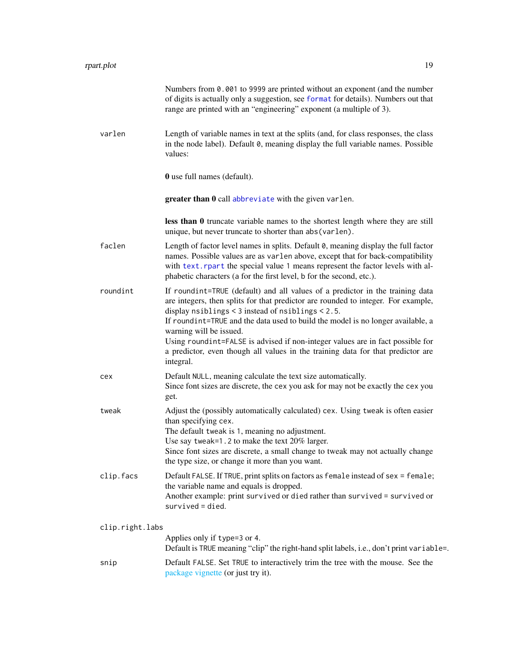<span id="page-18-0"></span>

|                 | Numbers from 0.001 to 9999 are printed without an exponent (and the number<br>of digits is actually only a suggestion, see format for details). Numbers out that<br>range are printed with an "engineering" exponent (a multiple of 3).                                                                                                                                                                                                                                                                                      |
|-----------------|------------------------------------------------------------------------------------------------------------------------------------------------------------------------------------------------------------------------------------------------------------------------------------------------------------------------------------------------------------------------------------------------------------------------------------------------------------------------------------------------------------------------------|
| varlen          | Length of variable names in text at the splits (and, for class responses, the class<br>in the node label). Default 0, meaning display the full variable names. Possible<br>values:                                                                                                                                                                                                                                                                                                                                           |
|                 | <b>0</b> use full names (default).                                                                                                                                                                                                                                                                                                                                                                                                                                                                                           |
|                 | greater than 0 call abbreviate with the given varlen.                                                                                                                                                                                                                                                                                                                                                                                                                                                                        |
|                 | less than 0 truncate variable names to the shortest length where they are still<br>unique, but never truncate to shorter than abs (varlen).                                                                                                                                                                                                                                                                                                                                                                                  |
| faclen          | Length of factor level names in splits. Default 0, meaning display the full factor<br>names. Possible values are as varlen above, except that for back-compatibility<br>with text. rpart the special value 1 means represent the factor levels with al-<br>phabetic characters (a for the first level, b for the second, etc.).                                                                                                                                                                                              |
| roundint        | If roundint=TRUE (default) and all values of a predictor in the training data<br>are integers, then splits for that predictor are rounded to integer. For example,<br>display nsiblings < $3$ instead of nsiblings < $2.5$ .<br>If roundint=TRUE and the data used to build the model is no longer available, a<br>warning will be issued.<br>Using roundint=FALSE is advised if non-integer values are in fact possible for<br>a predictor, even though all values in the training data for that predictor are<br>integral. |
| cex             | Default NULL, meaning calculate the text size automatically.<br>Since font sizes are discrete, the cex you ask for may not be exactly the cex you<br>get.                                                                                                                                                                                                                                                                                                                                                                    |
| tweak           | Adjust the (possibly automatically calculated) cex. Using tweak is often easier<br>than specifying cex.<br>The default tweak is 1, meaning no adjustment.<br>Use say tweak=1.2 to make the text 20% larger.<br>Since font sizes are discrete, a small change to tweak may not actually change<br>the type size, or change it more than you want.                                                                                                                                                                             |
| clip.facs       | Default FALSE. If TRUE, print splits on factors as female instead of sex = female;<br>the variable name and equals is dropped.<br>Another example: print survived or died rather than survived = survived or<br>$survived = died.$                                                                                                                                                                                                                                                                                           |
| clip.right.labs |                                                                                                                                                                                                                                                                                                                                                                                                                                                                                                                              |
|                 | Applies only if type=3 or 4.<br>Default is TRUE meaning "clip" the right-hand split labels, i.e., don't print variable=.                                                                                                                                                                                                                                                                                                                                                                                                     |
| snip            | Default FALSE. Set TRUE to interactively trim the tree with the mouse. See the<br>package vignette (or just try it).                                                                                                                                                                                                                                                                                                                                                                                                         |
|                 |                                                                                                                                                                                                                                                                                                                                                                                                                                                                                                                              |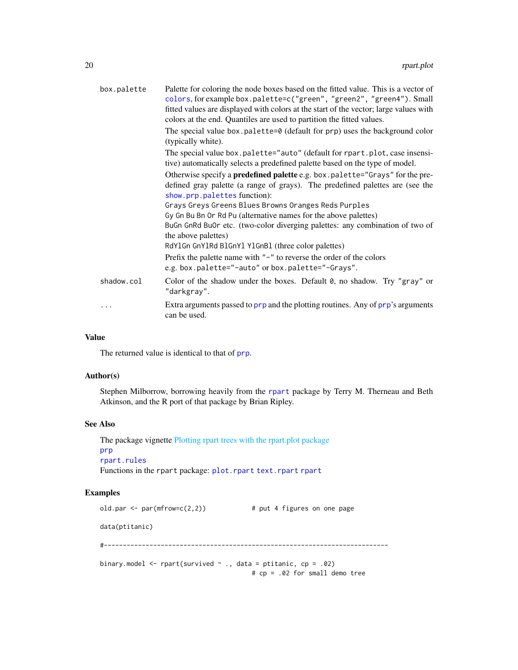<span id="page-19-0"></span>

| box.palette | Palette for coloring the node boxes based on the fitted value. This is a vector of<br>colors, for example box.palette=c("green", "green2", "green4"). Small<br>fitted values are displayed with colors at the start of the vector; large values with<br>colors at the end. Quantiles are used to partition the fitted values. |
|-------------|-------------------------------------------------------------------------------------------------------------------------------------------------------------------------------------------------------------------------------------------------------------------------------------------------------------------------------|
|             | The special value box.palette=0 (default for prp) uses the background color<br>(typically white).                                                                                                                                                                                                                             |
|             | The special value box.palette="auto" (default for rpart.plot, case insensi-<br>tive) automatically selects a predefined palette based on the type of model.                                                                                                                                                                   |
|             | Otherwise specify a <b>predefined palette</b> e.g. box.palette="Grays" for the pre-<br>defined gray palette (a range of grays). The predefined palettes are (see the<br>show.prp.palettes function):<br>Grays Greys Greens Blues Browns Oranges Reds Purples                                                                  |
|             | Gy Gn Bu Bn Or Rd Pu (alternative names for the above palettes)<br>BuGn GnRd BuOr etc. (two-color diverging palettes: any combination of two of<br>the above palettes)<br>RdY1Gn GnY1Rd B1GnY1 Y1GnB1 (three color palettes)                                                                                                  |
|             | Prefix the palette name with $"$ – $"$ to reverse the order of the colors<br>e.g. box.palette="-auto" or box.palette="-Grays".                                                                                                                                                                                                |
| shadow.col  | Color of the shadow under the boxes. Default $\theta$ , no shadow. Try "gray" or<br>"darkgray".                                                                                                                                                                                                                               |
| .           | Extra arguments passed to prp and the plotting routines. Any of prp's arguments<br>can be used.                                                                                                                                                                                                                               |

#### Value

The returned value is identical to that of [prp](#page-1-1).

#### Author(s)

Stephen Milborrow, borrowing heavily from the [rpart](#page-0-0) package by Terry M. Therneau and Beth Atkinson, and the R port of that package by Brian Ripley.

#### See Also

The package vignette [Plotting rpart trees with the rpart.plot package](#page-0-0) [prp](#page-1-1) [rpart.rules](#page-21-1) Functions in the rpart package: [plot.rpart](#page-0-0) [text.rpart](#page-0-0) [rpart](#page-0-0)

```
old.par \leq par(mfrow=c(2,2)) # put 4 figures on one page
data(ptitanic)
#---------------------------------------------------------------------------
binary.model \leq rpart(survived \sim ., data = ptitanic, cp = .02)
                                      # cp = .02 for small demo tree
```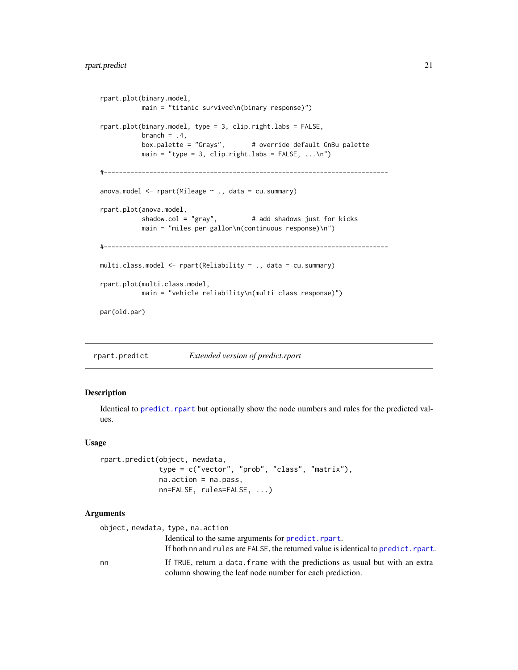#### <span id="page-20-0"></span>rpart.predict 21

```
rpart.plot(binary.model,
          main = "titanic survived\n(binary response)")
rpart.plot(binary.model, type = 3, clip.right.labs = FALSE,
          branch = .4,
          box.palette = "Grays", # override default GnBu palette
          main = "type = 3, clip.right.labs = FALSE, ...\n")
#---------------------------------------------------------------------------
anova.model <- rpart(Mileage ~ ., data = cu.summary)
rpart.plot(anova.model,
          shadow.col = "gray", # add shadows just for kicks
          main = "miles per gallon\n(continuous response)\n")
#---------------------------------------------------------------------------
multi.class.model <- rpart(Reliability ~ ., data = cu.summary)
rpart.plot(multi.class.model,
          main = "vehicle reliability\n(multi class response)")
par(old.par)
```
<span id="page-20-1"></span>rpart.predict *Extended version of predict.rpart*

#### Description

Identical to [predict.rpart](#page-0-0) but optionally show the node numbers and rules for the predicted values.

#### Usage

```
rpart.predict(object, newdata,
              type = c("vector", "prob", "class", "matrix"),
              na.action = na.pass,
             nn=FALSE, rules=FALSE, ...)
```

|    | object, newdata, type, na.action                                                                                                          |
|----|-------------------------------------------------------------------------------------------------------------------------------------------|
|    | Identical to the same arguments for <b>predict</b> . rpart.                                                                               |
|    | If both nn and rules are FALSE, the returned value is identical to predict. rpart.                                                        |
| nn | If TRUE, return a data. frame with the predictions as usual but with an extra<br>column showing the leaf node number for each prediction. |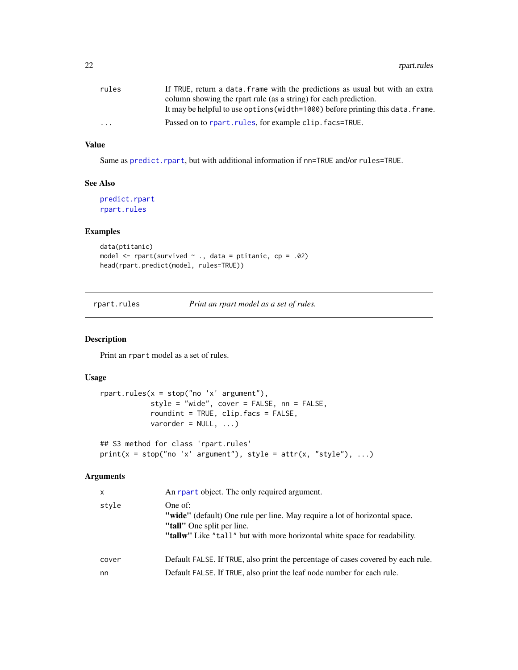<span id="page-21-0"></span>

| rules                   | If TRUE, return a data, frame with the predictions as usual but with an extra   |
|-------------------------|---------------------------------------------------------------------------------|
|                         | column showing the rpart rule (as a string) for each prediction.                |
|                         | It may be helpful to use options (width=1000) before printing this data. frame. |
| $\cdot$ $\cdot$ $\cdot$ | Passed on to rpart.rules, for example clip.facs=TRUE.                           |

#### Value

Same as [predict.rpart](#page-0-0), but with additional information if nn=TRUE and/or rules=TRUE.

#### See Also

[predict.rpart](#page-0-0) [rpart.rules](#page-21-1)

#### Examples

```
data(ptitanic)
model \le rpart(survived \sim ., data = ptitanic, cp = .02)
head(rpart.predict(model, rules=TRUE))
```
<span id="page-21-1"></span>rpart.rules *Print an rpart model as a set of rules.*

#### Description

Print an rpart model as a set of rules.

#### Usage

```
rpart.rules(x = stop("no 'x' argument"),style = "wide", cover = FALSE, nn = FALSE,
           roundint = TRUE, clip.facs = FALSE,
           varorder = NULL, ...
```

```
## S3 method for class 'rpart.rules'
print(x = stop("no 'x' argument"), style = attr(x, "style"), ...)
```

| x           | An rpart object. The only required argument.                                                                                                                                                     |
|-------------|--------------------------------------------------------------------------------------------------------------------------------------------------------------------------------------------------|
| stvle       | One of:<br>"wide" (default) One rule per line. May require a lot of horizontal space.<br>"tall" One split per line.<br>"tallw" Like "tall" but with more horizontal white space for readability. |
| cover<br>nn | Default FALSE. If TRUE, also print the percentage of cases covered by each rule.<br>Default FALSE. If TRUE, also print the leaf node number for each rule.                                       |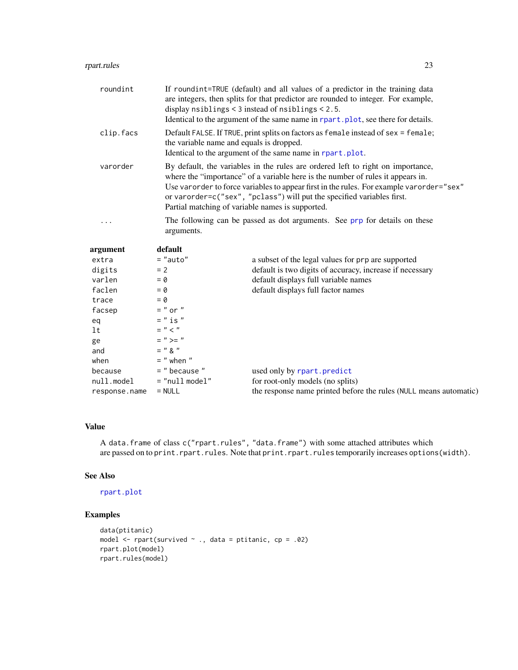<span id="page-22-0"></span>

| roundint  | If roundint=TRUE (default) and all values of a predictor in the training data<br>are integers, then splits for that predictor are rounded to integer. For example,<br>display $nsibling < 3$ instead of $nsibling < 2.5$ .<br>Identical to the argument of the same name in rpart.plot, see there for details.                                                                               |                                                                            |  |
|-----------|----------------------------------------------------------------------------------------------------------------------------------------------------------------------------------------------------------------------------------------------------------------------------------------------------------------------------------------------------------------------------------------------|----------------------------------------------------------------------------|--|
| clip.facs | Default FALSE. If TRUE, print splits on factors as female instead of sex = female;<br>the variable name and equals is dropped.<br>Identical to the argument of the same name in rpart.plot.                                                                                                                                                                                                  |                                                                            |  |
| varorder  | By default, the variables in the rules are ordered left to right on importance,<br>where the "importance" of a variable here is the number of rules it appears in.<br>Use varorder to force variables to appear first in the rules. For example varorder="sex"<br>or varorder=c("sex", "pclass") will put the specified variables first.<br>Partial matching of variable names is supported. |                                                                            |  |
| .         | arguments.                                                                                                                                                                                                                                                                                                                                                                                   | The following can be passed as dot arguments. See prp for details on these |  |
| argument  | default                                                                                                                                                                                                                                                                                                                                                                                      |                                                                            |  |
| extra     | $=$ "auto"                                                                                                                                                                                                                                                                                                                                                                                   | a subset of the legal values for prp are supported                         |  |
| digits    | $= 2$                                                                                                                                                                                                                                                                                                                                                                                        | default is two digits of accuracy, increase if necessary                   |  |
| varlen    | $= 0$                                                                                                                                                                                                                                                                                                                                                                                        | default displays full variable names                                       |  |
| faclen    | $= 0$                                                                                                                                                                                                                                                                                                                                                                                        | default displays full factor names                                         |  |
| trace     | $= 0$                                                                                                                                                                                                                                                                                                                                                                                        |                                                                            |  |
| facsep    | $=$ " or "                                                                                                                                                                                                                                                                                                                                                                                   |                                                                            |  |
| eq        | $=$ " is "                                                                                                                                                                                                                                                                                                                                                                                   |                                                                            |  |
| lt        | $=$ " $<$ "                                                                                                                                                                                                                                                                                                                                                                                  |                                                                            |  |
| ge        | $=$ " >= "                                                                                                                                                                                                                                                                                                                                                                                   |                                                                            |  |
| and       | $=$ " $\lambda$ "                                                                                                                                                                                                                                                                                                                                                                            |                                                                            |  |
| when      | $=$ " when "                                                                                                                                                                                                                                                                                                                                                                                 |                                                                            |  |

because  $=$  " because " used only by [rpart.predict](#page-20-1) null.model  $=$  "null model" for root-only models (no splits null.model = "null model" for root-only models (no splits) response.name = NULL the response name printed before the rules (NULL means automatic)

#### Value

A data.frame of class c("rpart.rules", "data.frame") with some attached attributes which are passed on to print.rpart.rules. Note that print.rpart.rules temporarily increases options(width).

#### See Also

#### [rpart.plot](#page-16-1)

```
data(ptitanic)
model \le rpart(survived \le., data = ptitanic, cp = .02)
rpart.plot(model)
rpart.rules(model)
```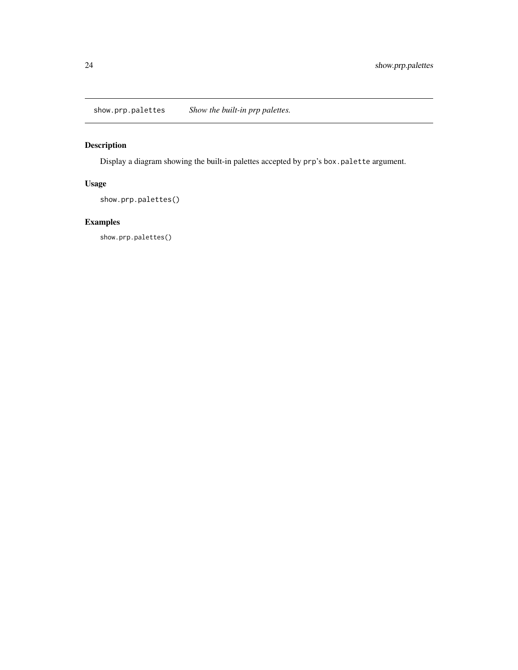<span id="page-23-1"></span><span id="page-23-0"></span>show.prp.palettes *Show the built-in prp palettes.*

### Description

Display a diagram showing the built-in palettes accepted by prp's box.palette argument.

### Usage

show.prp.palettes()

### Examples

show.prp.palettes()